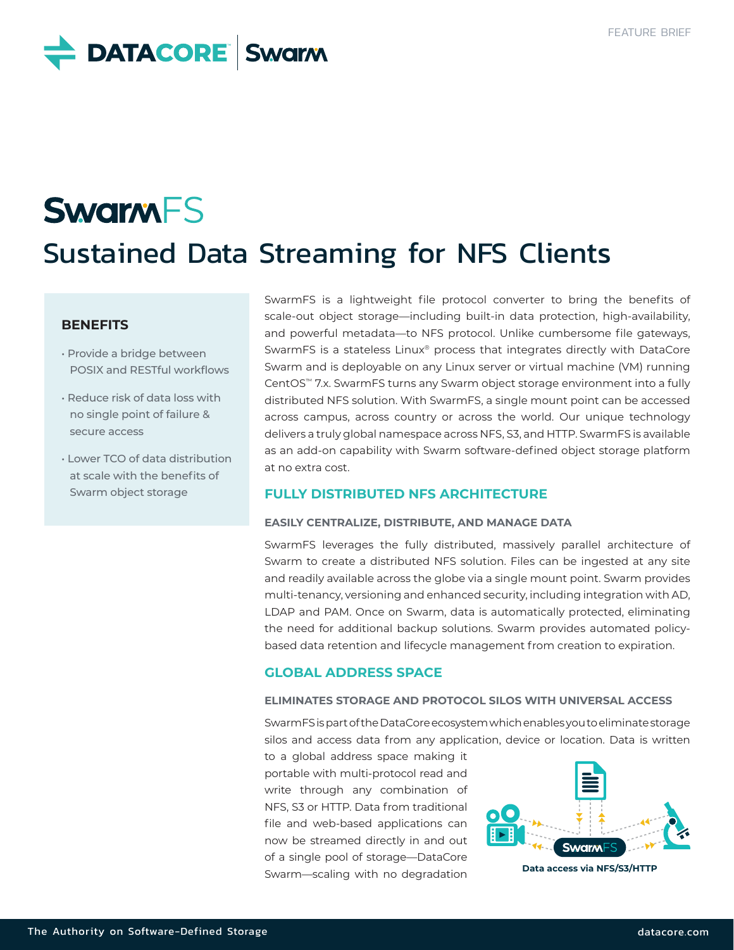# **DATACORE** Swarm

# **SwarmFS** Sustained Data Streaming for NFS Clients

## **BENEFITS**

- Provide a bridge between POSIX and RESTful workflows
- Reduce risk of data loss with no single point of failure & secure access
- Lower TCO of data distribution at scale with the benefits of Swarm object storage

SwarmFS is a lightweight file protocol converter to bring the benefits of scale-out object storage—including built-in data protection, high-availability, and powerful metadata—to NFS protocol. Unlike cumbersome file gateways, SwarmFS is a stateless Linux® process that integrates directly with DataCore Swarm and is deployable on any Linux server or virtual machine (VM) running CentOS™ 7.x. SwarmFS turns any Swarm object storage environment into a fully distributed NFS solution. With SwarmFS, a single mount point can be accessed across campus, across country or across the world. Our unique technology delivers a truly global namespace across NFS, S3, and HTTP. SwarmFS is available as an add-on capability with Swarm software-defined object storage platform at no extra cost.

### **FULLY DISTRIBUTED NFS ARCHITECTURE**

#### **EASILY CENTRALIZE, DISTRIBUTE, AND MANAGE DATA**

SwarmFS leverages the fully distributed, massively parallel architecture of Swarm to create a distributed NFS solution. Files can be ingested at any site and readily available across the globe via a single mount point. Swarm provides multi-tenancy, versioning and enhanced security, including integration with AD, LDAP and PAM. Once on Swarm, data is automatically protected, eliminating the need for additional backup solutions. Swarm provides automated policybased data retention and lifecycle management from creation to expiration.

## **GLOBAL ADDRESS SPACE**

#### **ELIMINATES STORAGE AND PROTOCOL SILOS WITH UNIVERSAL ACCESS**

SwarmFS is part of the DataCore ecosystem which enables you to eliminate storage silos and access data from any application, device or location. Data is written

to a global address space making it portable with multi-protocol read and write through any combination of NFS, S3 or HTTP. Data from traditional file and web-based applications can now be streamed directly in and out of a single pool of storage—DataCore Swarm—scaling with no degradation



**Data access via NFS/S3/HTTP**